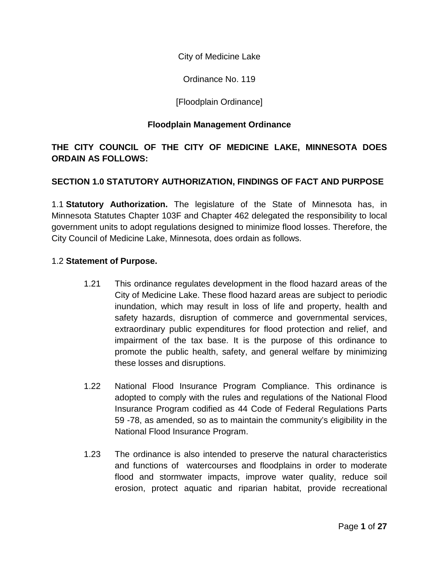City of Medicine Lake

Ordinance No. 119

# [Floodplain Ordinance]

#### **Floodplain Management Ordinance**

# **THE CITY COUNCIL OF THE CITY OF MEDICINE LAKE, MINNESOTA DOES ORDAIN AS FOLLOWS:**

## **SECTION 1.0 STATUTORY AUTHORIZATION, FINDINGS OF FACT AND PURPOSE**

1.1 **Statutory Authorization.** The legislature of the State of Minnesota has, in Minnesota Statutes Chapter 103F and Chapter 462 delegated the responsibility to local government units to adopt regulations designed to minimize flood losses. Therefore, the City Council of Medicine Lake, Minnesota, does ordain as follows.

#### 1.2 **Statement of Purpose.**

- 1.21 This ordinance regulates development in the flood hazard areas of the City of Medicine Lake. These flood hazard areas are subject to periodic inundation, which may result in loss of life and property, health and safety hazards, disruption of commerce and governmental services, extraordinary public expenditures for flood protection and relief, and impairment of the tax base. It is the purpose of this ordinance to promote the public health, safety, and general welfare by minimizing these losses and disruptions.
- 1.22 National Flood Insurance Program Compliance. This ordinance is adopted to comply with the rules and regulations of the National Flood Insurance Program codified as 44 Code of Federal Regulations Parts 59 -78, as amended, so as to maintain the community's eligibility in the National Flood Insurance Program.
- 1.23 The ordinance is also intended to preserve the natural characteristics and functions of watercourses and floodplains in order to moderate flood and stormwater impacts, improve water quality, reduce soil erosion, protect aquatic and riparian habitat, provide recreational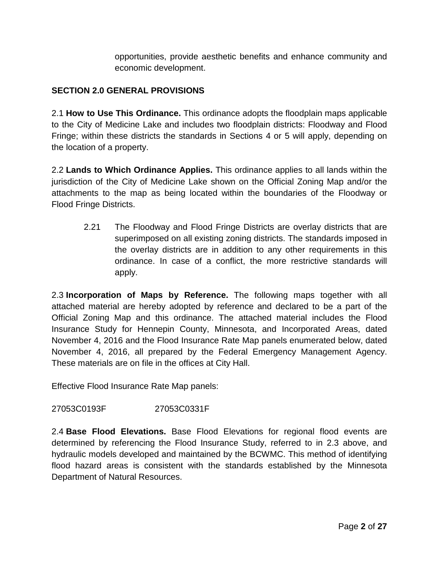opportunities, provide aesthetic benefits and enhance community and economic development.

# **SECTION 2.0 GENERAL PROVISIONS**

2.1 **How to Use This Ordinance.** This ordinance adopts the floodplain maps applicable to the City of Medicine Lake and includes two floodplain districts: Floodway and Flood Fringe; within these districts the standards in Sections 4 or 5 will apply, depending on the location of a property.

2.2 **Lands to Which Ordinance Applies.** This ordinance applies to all lands within the jurisdiction of the City of Medicine Lake shown on the Official Zoning Map and/or the attachments to the map as being located within the boundaries of the Floodway or Flood Fringe Districts.

2.21 The Floodway and Flood Fringe Districts are overlay districts that are superimposed on all existing zoning districts. The standards imposed in the overlay districts are in addition to any other requirements in this ordinance. In case of a conflict, the more restrictive standards will apply.

2.3 **Incorporation of Maps by Reference.** The following maps together with all attached material are hereby adopted by reference and declared to be a part of the Official Zoning Map and this ordinance. The attached material includes the Flood Insurance Study for Hennepin County, Minnesota, and Incorporated Areas, dated November 4, 2016 and the Flood Insurance Rate Map panels enumerated below, dated November 4, 2016, all prepared by the Federal Emergency Management Agency. These materials are on file in the offices at City Hall.

Effective Flood Insurance Rate Map panels:

## 27053C0193F 27053C0331F

2.4 **Base Flood Elevations.** Base Flood Elevations for regional flood events are determined by referencing the Flood Insurance Study, referred to in 2.3 above, and hydraulic models developed and maintained by the BCWMC. This method of identifying flood hazard areas is consistent with the standards established by the Minnesota Department of Natural Resources.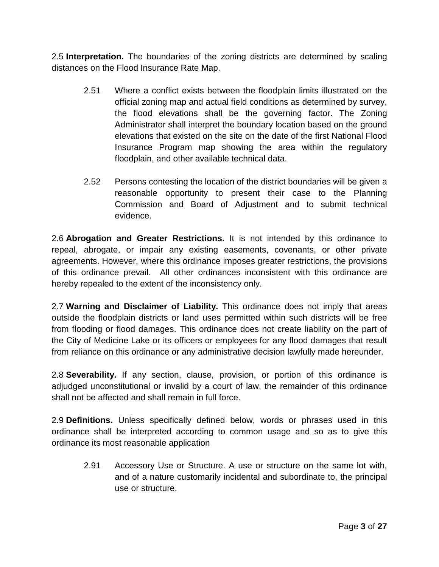2.5 **Interpretation.** The boundaries of the zoning districts are determined by scaling distances on the Flood Insurance Rate Map.

- 2.51 Where a conflict exists between the floodplain limits illustrated on the official zoning map and actual field conditions as determined by survey, the flood elevations shall be the governing factor. The Zoning Administrator shall interpret the boundary location based on the ground elevations that existed on the site on the date of the first National Flood Insurance Program map showing the area within the regulatory floodplain, and other available technical data.
- 2.52 Persons contesting the location of the district boundaries will be given a reasonable opportunity to present their case to the Planning Commission and Board of Adjustment and to submit technical evidence.

2.6 **Abrogation and Greater Restrictions.** It is not intended by this ordinance to repeal, abrogate, or impair any existing easements, covenants, or other private agreements. However, where this ordinance imposes greater restrictions, the provisions of this ordinance prevail. All other ordinances inconsistent with this ordinance are hereby repealed to the extent of the inconsistency only.

2.7 **Warning and Disclaimer of Liability.** This ordinance does not imply that areas outside the floodplain districts or land uses permitted within such districts will be free from flooding or flood damages. This ordinance does not create liability on the part of the City of Medicine Lake or its officers or employees for any flood damages that result from reliance on this ordinance or any administrative decision lawfully made hereunder.

2.8 **Severability.** If any section, clause, provision, or portion of this ordinance is adjudged unconstitutional or invalid by a court of law, the remainder of this ordinance shall not be affected and shall remain in full force.

2.9 **Definitions.** Unless specifically defined below, words or phrases used in this ordinance shall be interpreted according to common usage and so as to give this ordinance its most reasonable application

2.91 Accessory Use or Structure. A use or structure on the same lot with, and of a nature customarily incidental and subordinate to, the principal use or structure.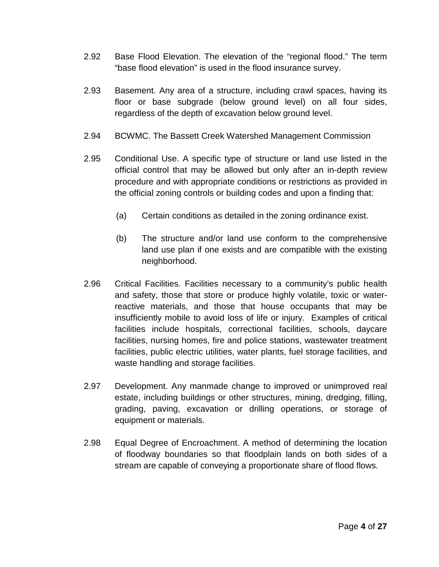- 2.92 Base Flood Elevation. The elevation of the "regional flood." The term "base flood elevation" is used in the flood insurance survey.
- 2.93 Basement. Any area of a structure, including crawl spaces, having its floor or base subgrade (below ground level) on all four sides, regardless of the depth of excavation below ground level.
- 2.94 BCWMC. The Bassett Creek Watershed Management Commission
- 2.95 Conditional Use. A specific type of structure or land use listed in the official control that may be allowed but only after an in-depth review procedure and with appropriate conditions or restrictions as provided in the official zoning controls or building codes and upon a finding that:
	- (a) Certain conditions as detailed in the zoning ordinance exist.
	- (b) The structure and/or land use conform to the comprehensive land use plan if one exists and are compatible with the existing neighborhood.
- 2.96 Critical Facilities. Facilities necessary to a community's public health and safety, those that store or produce highly volatile, toxic or waterreactive materials, and those that house occupants that may be insufficiently mobile to avoid loss of life or injury. Examples of critical facilities include hospitals, correctional facilities, schools, daycare facilities, nursing homes, fire and police stations, wastewater treatment facilities, public electric utilities, water plants, fuel storage facilities, and waste handling and storage facilities.
- 2.97 Development. Any manmade change to improved or unimproved real estate, including buildings or other structures, mining, dredging, filling, grading, paving, excavation or drilling operations, or storage of equipment or materials.
- 2.98 Equal Degree of Encroachment. A method of determining the location of floodway boundaries so that floodplain lands on both sides of a stream are capable of conveying a proportionate share of flood flows.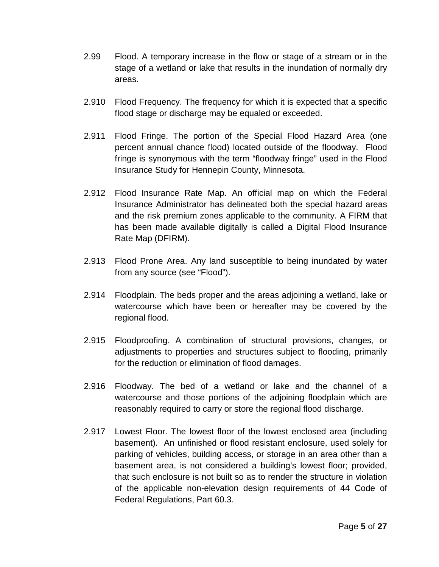- 2.99 Flood. A temporary increase in the flow or stage of a stream or in the stage of a wetland or lake that results in the inundation of normally dry areas.
- 2.910 Flood Frequency. The frequency for which it is expected that a specific flood stage or discharge may be equaled or exceeded.
- 2.911 Flood Fringe. The portion of the Special Flood Hazard Area (one percent annual chance flood) located outside of the floodway. Flood fringe is synonymous with the term "floodway fringe" used in the Flood Insurance Study for Hennepin County, Minnesota.
- 2.912 Flood Insurance Rate Map. An official map on which the Federal Insurance Administrator has delineated both the special hazard areas and the risk premium zones applicable to the community. A FIRM that has been made available digitally is called a Digital Flood Insurance Rate Map (DFIRM).
- 2.913 Flood Prone Area. Any land susceptible to being inundated by water from any source (see "Flood").
- 2.914 Floodplain. The beds proper and the areas adjoining a wetland, lake or watercourse which have been or hereafter may be covered by the regional flood.
- 2.915 Floodproofing. A combination of structural provisions, changes, or adjustments to properties and structures subject to flooding, primarily for the reduction or elimination of flood damages.
- 2.916 Floodway. The bed of a wetland or lake and the channel of a watercourse and those portions of the adjoining floodplain which are reasonably required to carry or store the regional flood discharge.
- 2.917 Lowest Floor. The lowest floor of the lowest enclosed area (including basement). An unfinished or flood resistant enclosure, used solely for parking of vehicles, building access, or storage in an area other than a basement area, is not considered a building's lowest floor; provided, that such enclosure is not built so as to render the structure in violation of the applicable non-elevation design requirements of 44 Code of Federal Regulations, Part 60.3.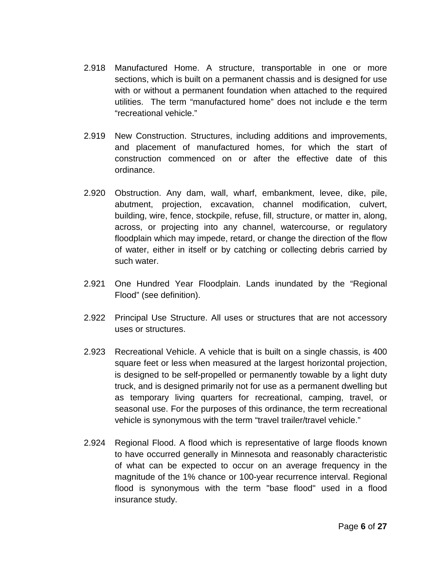- 2.918 Manufactured Home. A structure, transportable in one or more sections, which is built on a permanent chassis and is designed for use with or without a permanent foundation when attached to the required utilities. The term "manufactured home" does not include e the term "recreational vehicle."
- 2.919 New Construction. Structures, including additions and improvements, and placement of manufactured homes, for which the start of construction commenced on or after the effective date of this ordinance.
- 2.920 Obstruction. Any dam, wall, wharf, embankment, levee, dike, pile, abutment, projection, excavation, channel modification, culvert, building, wire, fence, stockpile, refuse, fill, structure, or matter in, along, across, or projecting into any channel, watercourse, or regulatory floodplain which may impede, retard, or change the direction of the flow of water, either in itself or by catching or collecting debris carried by such water.
- 2.921 One Hundred Year Floodplain. Lands inundated by the "Regional Flood" (see definition).
- 2.922 Principal Use Structure. All uses or structures that are not accessory uses or structures.
- 2.923 Recreational Vehicle. A vehicle that is built on a single chassis, is 400 square feet or less when measured at the largest horizontal projection, is designed to be self-propelled or permanently towable by a light duty truck, and is designed primarily not for use as a permanent dwelling but as temporary living quarters for recreational, camping, travel, or seasonal use. For the purposes of this ordinance, the term recreational vehicle is synonymous with the term "travel trailer/travel vehicle."
- 2.924 Regional Flood. A flood which is representative of large floods known to have occurred generally in Minnesota and reasonably characteristic of what can be expected to occur on an average frequency in the magnitude of the 1% chance or 100-year recurrence interval. Regional flood is synonymous with the term "base flood" used in a flood insurance study.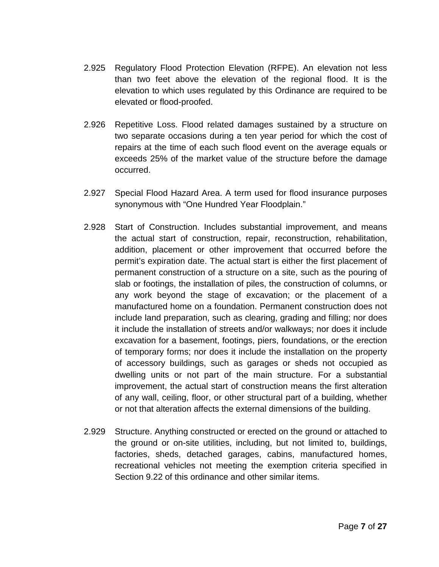- 2.925 Regulatory Flood Protection Elevation (RFPE). An elevation not less than two feet above the elevation of the regional flood. It is the elevation to which uses regulated by this Ordinance are required to be elevated or flood-proofed.
- 2.926 Repetitive Loss. Flood related damages sustained by a structure on two separate occasions during a ten year period for which the cost of repairs at the time of each such flood event on the average equals or exceeds 25% of the market value of the structure before the damage occurred.
- 2.927 Special Flood Hazard Area. A term used for flood insurance purposes synonymous with "One Hundred Year Floodplain."
- 2.928 Start of Construction. Includes substantial improvement, and means the actual start of construction, repair, reconstruction, rehabilitation, addition, placement or other improvement that occurred before the permit's expiration date. The actual start is either the first placement of permanent construction of a structure on a site, such as the pouring of slab or footings, the installation of piles, the construction of columns, or any work beyond the stage of excavation; or the placement of a manufactured home on a foundation. Permanent construction does not include land preparation, such as clearing, grading and filling; nor does it include the installation of streets and/or walkways; nor does it include excavation for a basement, footings, piers, foundations, or the erection of temporary forms; nor does it include the installation on the property of accessory buildings, such as garages or sheds not occupied as dwelling units or not part of the main structure. For a substantial improvement, the actual start of construction means the first alteration of any wall, ceiling, floor, or other structural part of a building, whether or not that alteration affects the external dimensions of the building.
- 2.929 Structure. Anything constructed or erected on the ground or attached to the ground or on-site utilities, including, but not limited to, buildings, factories, sheds, detached garages, cabins, manufactured homes, recreational vehicles not meeting the exemption criteria specified in Section 9.22 of this ordinance and other similar items.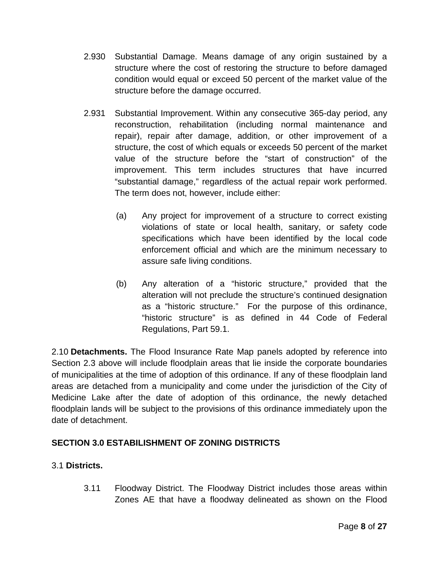- 2.930 Substantial Damage. Means damage of any origin sustained by a structure where the cost of restoring the structure to before damaged condition would equal or exceed 50 percent of the market value of the structure before the damage occurred.
- 2.931 Substantial Improvement. Within any consecutive 365-day period, any reconstruction, rehabilitation (including normal maintenance and repair), repair after damage, addition, or other improvement of a structure, the cost of which equals or exceeds 50 percent of the market value of the structure before the "start of construction" of the improvement. This term includes structures that have incurred "substantial damage," regardless of the actual repair work performed. The term does not, however, include either:
	- (a) Any project for improvement of a structure to correct existing violations of state or local health, sanitary, or safety code specifications which have been identified by the local code enforcement official and which are the minimum necessary to assure safe living conditions.
	- (b) Any alteration of a "historic structure," provided that the alteration will not preclude the structure's continued designation as a "historic structure." For the purpose of this ordinance, "historic structure" is as defined in 44 Code of Federal Regulations, Part 59.1.

2.10 **Detachments.** The Flood Insurance Rate Map panels adopted by reference into Section 2.3 above will include floodplain areas that lie inside the corporate boundaries of municipalities at the time of adoption of this ordinance. If any of these floodplain land areas are detached from a municipality and come under the jurisdiction of the City of Medicine Lake after the date of adoption of this ordinance, the newly detached floodplain lands will be subject to the provisions of this ordinance immediately upon the date of detachment.

# **SECTION 3.0 ESTABILISHMENT OF ZONING DISTRICTS**

## 3.1 **Districts.**

3.11 Floodway District. The Floodway District includes those areas within Zones AE that have a floodway delineated as shown on the Flood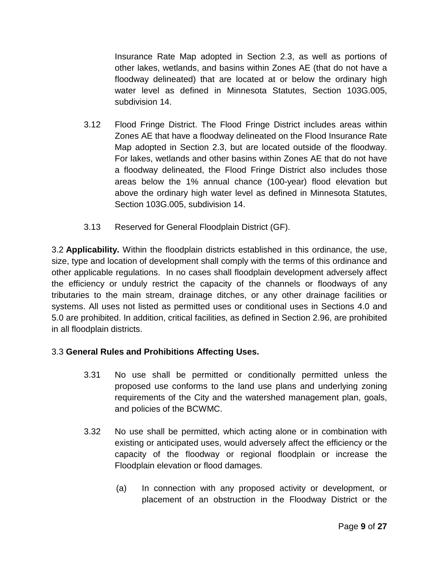Insurance Rate Map adopted in Section 2.3, as well as portions of other lakes, wetlands, and basins within Zones AE (that do not have a floodway delineated) that are located at or below the ordinary high water level as defined in Minnesota Statutes, Section 103G.005, subdivision 14.

- 3.12 Flood Fringe District. The Flood Fringe District includes areas within Zones AE that have a floodway delineated on the Flood Insurance Rate Map adopted in Section 2.3, but are located outside of the floodway. For lakes, wetlands and other basins within Zones AE that do not have a floodway delineated, the Flood Fringe District also includes those areas below the 1% annual chance (100-year) flood elevation but above the ordinary high water level as defined in Minnesota Statutes, Section 103G.005, subdivision 14.
- 3.13 Reserved for General Floodplain District (GF).

3.2 **Applicability.** Within the floodplain districts established in this ordinance, the use, size, type and location of development shall comply with the terms of this ordinance and other applicable regulations. In no cases shall floodplain development adversely affect the efficiency or unduly restrict the capacity of the channels or floodways of any tributaries to the main stream, drainage ditches, or any other drainage facilities or systems. All uses not listed as permitted uses or conditional uses in Sections 4.0 and 5.0 are prohibited. In addition, critical facilities, as defined in Section 2.96, are prohibited in all floodplain districts.

## 3.3 **General Rules and Prohibitions Affecting Uses.**

- 3.31 No use shall be permitted or conditionally permitted unless the proposed use conforms to the land use plans and underlying zoning requirements of the City and the watershed management plan, goals, and policies of the BCWMC.
- 3.32 No use shall be permitted, which acting alone or in combination with existing or anticipated uses, would adversely affect the efficiency or the capacity of the floodway or regional floodplain or increase the Floodplain elevation or flood damages.
	- (a) In connection with any proposed activity or development, or placement of an obstruction in the Floodway District or the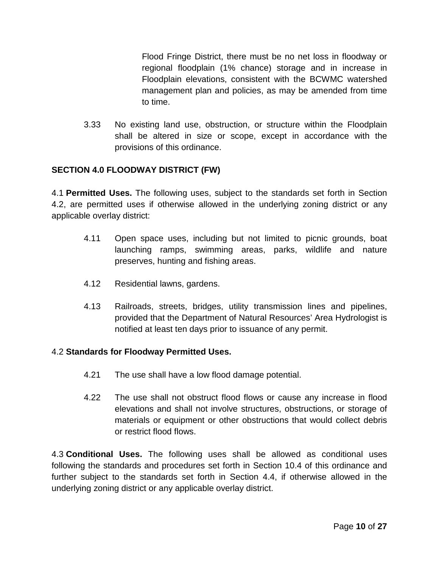Flood Fringe District, there must be no net loss in floodway or regional floodplain (1% chance) storage and in increase in Floodplain elevations, consistent with the BCWMC watershed management plan and policies, as may be amended from time to time.

3.33 No existing land use, obstruction, or structure within the Floodplain shall be altered in size or scope, except in accordance with the provisions of this ordinance.

# **SECTION 4.0 FLOODWAY DISTRICT (FW)**

4.1 **Permitted Uses.** The following uses, subject to the standards set forth in Section 4.2, are permitted uses if otherwise allowed in the underlying zoning district or any applicable overlay district:

- 4.11 Open space uses, including but not limited to picnic grounds, boat launching ramps, swimming areas, parks, wildlife and nature preserves, hunting and fishing areas.
- 4.12 Residential lawns, gardens.
- 4.13 Railroads, streets, bridges, utility transmission lines and pipelines, provided that the Department of Natural Resources' Area Hydrologist is notified at least ten days prior to issuance of any permit.

## 4.2 **Standards for Floodway Permitted Uses.**

- 4.21 The use shall have a low flood damage potential.
- 4.22 The use shall not obstruct flood flows or cause any increase in flood elevations and shall not involve structures, obstructions, or storage of materials or equipment or other obstructions that would collect debris or restrict flood flows.

4.3 **Conditional Uses.** The following uses shall be allowed as conditional uses following the standards and procedures set forth in Section 10.4 of this ordinance and further subject to the standards set forth in Section 4.4, if otherwise allowed in the underlying zoning district or any applicable overlay district.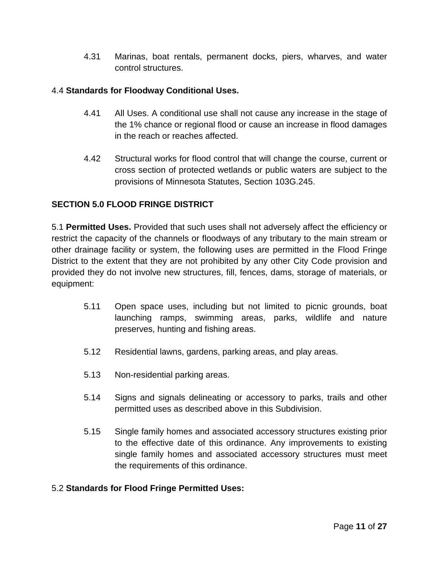4.31 Marinas, boat rentals, permanent docks, piers, wharves, and water control structures.

## 4.4 **Standards for Floodway Conditional Uses.**

- 4.41 All Uses. A conditional use shall not cause any increase in the stage of the 1% chance or regional flood or cause an increase in flood damages in the reach or reaches affected.
- 4.42 Structural works for flood control that will change the course, current or cross section of protected wetlands or public waters are subject to the provisions of Minnesota Statutes, Section 103G.245.

## **SECTION 5.0 FLOOD FRINGE DISTRICT**

5.1 **Permitted Uses.** Provided that such uses shall not adversely affect the efficiency or restrict the capacity of the channels or floodways of any tributary to the main stream or other drainage facility or system, the following uses are permitted in the Flood Fringe District to the extent that they are not prohibited by any other City Code provision and provided they do not involve new structures, fill, fences, dams, storage of materials, or equipment:

- 5.11 Open space uses, including but not limited to picnic grounds, boat launching ramps, swimming areas, parks, wildlife and nature preserves, hunting and fishing areas.
- 5.12 Residential lawns, gardens, parking areas, and play areas.
- 5.13 Non-residential parking areas.
- 5.14 Signs and signals delineating or accessory to parks, trails and other permitted uses as described above in this Subdivision.
- 5.15 Single family homes and associated accessory structures existing prior to the effective date of this ordinance. Any improvements to existing single family homes and associated accessory structures must meet the requirements of this ordinance.

## 5.2 **Standards for Flood Fringe Permitted Uses:**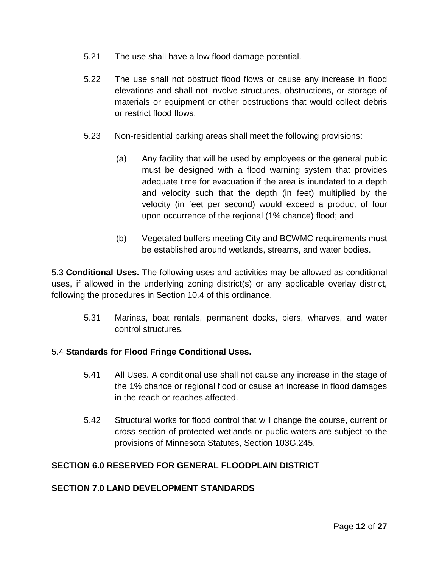- 5.21 The use shall have a low flood damage potential.
- 5.22 The use shall not obstruct flood flows or cause any increase in flood elevations and shall not involve structures, obstructions, or storage of materials or equipment or other obstructions that would collect debris or restrict flood flows.
- 5.23 Non-residential parking areas shall meet the following provisions:
	- (a) Any facility that will be used by employees or the general public must be designed with a flood warning system that provides adequate time for evacuation if the area is inundated to a depth and velocity such that the depth (in feet) multiplied by the velocity (in feet per second) would exceed a product of four upon occurrence of the regional (1% chance) flood; and
	- (b) Vegetated buffers meeting City and BCWMC requirements must be established around wetlands, streams, and water bodies.

5.3 **Conditional Uses.** The following uses and activities may be allowed as conditional uses, if allowed in the underlying zoning district(s) or any applicable overlay district, following the procedures in Section 10.4 of this ordinance.

5.31 Marinas, boat rentals, permanent docks, piers, wharves, and water control structures.

## 5.4 **Standards for Flood Fringe Conditional Uses.**

- 5.41 All Uses. A conditional use shall not cause any increase in the stage of the 1% chance or regional flood or cause an increase in flood damages in the reach or reaches affected.
- 5.42 Structural works for flood control that will change the course, current or cross section of protected wetlands or public waters are subject to the provisions of Minnesota Statutes, Section 103G.245.

#### **SECTION 6.0 RESERVED FOR GENERAL FLOODPLAIN DISTRICT**

#### **SECTION 7.0 LAND DEVELOPMENT STANDARDS**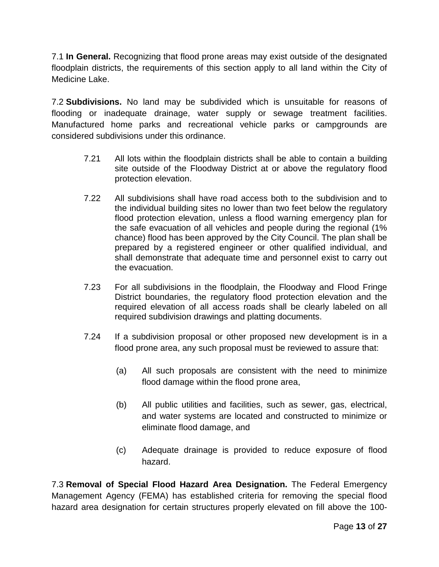7.1 **In General.** Recognizing that flood prone areas may exist outside of the designated floodplain districts, the requirements of this section apply to all land within the City of Medicine Lake.

7.2 **Subdivisions.** No land may be subdivided which is unsuitable for reasons of flooding or inadequate drainage, water supply or sewage treatment facilities. Manufactured home parks and recreational vehicle parks or campgrounds are considered subdivisions under this ordinance.

- 7.21 All lots within the floodplain districts shall be able to contain a building site outside of the Floodway District at or above the regulatory flood protection elevation.
- 7.22 All subdivisions shall have road access both to the subdivision and to the individual building sites no lower than two feet below the regulatory flood protection elevation, unless a flood warning emergency plan for the safe evacuation of all vehicles and people during the regional (1% chance) flood has been approved by the City Council. The plan shall be prepared by a registered engineer or other qualified individual, and shall demonstrate that adequate time and personnel exist to carry out the evacuation.
- 7.23 For all subdivisions in the floodplain, the Floodway and Flood Fringe District boundaries, the regulatory flood protection elevation and the required elevation of all access roads shall be clearly labeled on all required subdivision drawings and platting documents.
- 7.24 If a subdivision proposal or other proposed new development is in a flood prone area, any such proposal must be reviewed to assure that:
	- (a) All such proposals are consistent with the need to minimize flood damage within the flood prone area,
	- (b) All public utilities and facilities, such as sewer, gas, electrical, and water systems are located and constructed to minimize or eliminate flood damage, and
	- (c) Adequate drainage is provided to reduce exposure of flood hazard.

7.3 **Removal of Special Flood Hazard Area Designation.** The Federal Emergency Management Agency (FEMA) has established criteria for removing the special flood hazard area designation for certain structures properly elevated on fill above the 100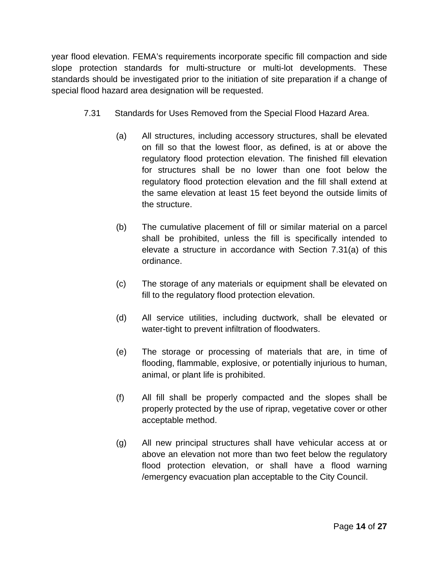year flood elevation. FEMA's requirements incorporate specific fill compaction and side slope protection standards for multi-structure or multi-lot developments. These standards should be investigated prior to the initiation of site preparation if a change of special flood hazard area designation will be requested.

- 7.31 Standards for Uses Removed from the Special Flood Hazard Area.
	- (a) All structures, including accessory structures, shall be elevated on fill so that the lowest floor, as defined, is at or above the regulatory flood protection elevation. The finished fill elevation for structures shall be no lower than one foot below the regulatory flood protection elevation and the fill shall extend at the same elevation at least 15 feet beyond the outside limits of the structure.
	- (b) The cumulative placement of fill or similar material on a parcel shall be prohibited, unless the fill is specifically intended to elevate a structure in accordance with Section 7.31(a) of this ordinance.
	- (c) The storage of any materials or equipment shall be elevated on fill to the regulatory flood protection elevation.
	- (d) All service utilities, including ductwork, shall be elevated or water-tight to prevent infiltration of floodwaters.
	- (e) The storage or processing of materials that are, in time of flooding, flammable, explosive, or potentially injurious to human, animal, or plant life is prohibited.
	- (f) All fill shall be properly compacted and the slopes shall be properly protected by the use of riprap, vegetative cover or other acceptable method.
	- (g) All new principal structures shall have vehicular access at or above an elevation not more than two feet below the regulatory flood protection elevation, or shall have a flood warning /emergency evacuation plan acceptable to the City Council.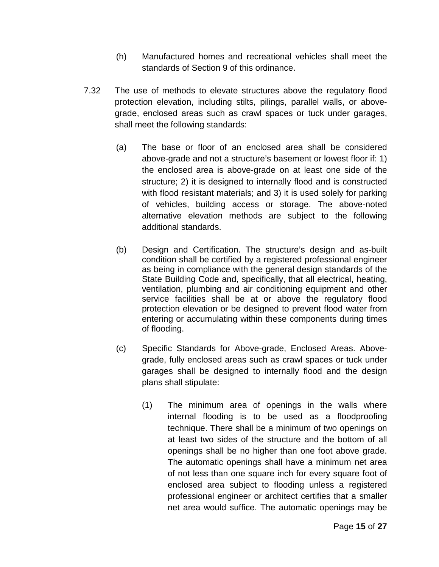- (h) Manufactured homes and recreational vehicles shall meet the standards of Section 9 of this ordinance.
- 7.32 The use of methods to elevate structures above the regulatory flood protection elevation, including stilts, pilings, parallel walls, or abovegrade, enclosed areas such as crawl spaces or tuck under garages, shall meet the following standards:
	- (a) The base or floor of an enclosed area shall be considered above-grade and not a structure's basement or lowest floor if: 1) the enclosed area is above-grade on at least one side of the structure; 2) it is designed to internally flood and is constructed with flood resistant materials; and 3) it is used solely for parking of vehicles, building access or storage. The above-noted alternative elevation methods are subject to the following additional standards.
	- (b) Design and Certification. The structure's design and as-built condition shall be certified by a registered professional engineer as being in compliance with the general design standards of the State Building Code and, specifically, that all electrical, heating, ventilation, plumbing and air conditioning equipment and other service facilities shall be at or above the regulatory flood protection elevation or be designed to prevent flood water from entering or accumulating within these components during times of flooding.
	- (c) Specific Standards for Above-grade, Enclosed Areas. Abovegrade, fully enclosed areas such as crawl spaces or tuck under garages shall be designed to internally flood and the design plans shall stipulate:
		- (1) The minimum area of openings in the walls where internal flooding is to be used as a floodproofing technique. There shall be a minimum of two openings on at least two sides of the structure and the bottom of all openings shall be no higher than one foot above grade. The automatic openings shall have a minimum net area of not less than one square inch for every square foot of enclosed area subject to flooding unless a registered professional engineer or architect certifies that a smaller net area would suffice. The automatic openings may be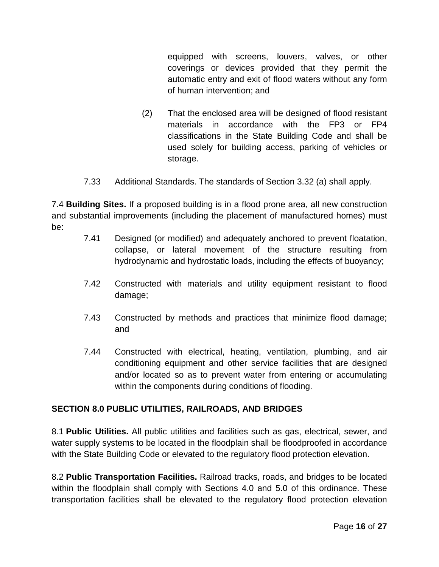equipped with screens, louvers, valves, or other coverings or devices provided that they permit the automatic entry and exit of flood waters without any form of human intervention; and

- (2) That the enclosed area will be designed of flood resistant materials in accordance with the FP3 or FP4 classifications in the State Building Code and shall be used solely for building access, parking of vehicles or storage.
- 7.33 Additional Standards. The standards of Section 3.32 (a) shall apply.

7.4 **Building Sites.** If a proposed building is in a flood prone area, all new construction and substantial improvements (including the placement of manufactured homes) must be:

- 7.41 Designed (or modified) and adequately anchored to prevent floatation, collapse, or lateral movement of the structure resulting from hydrodynamic and hydrostatic loads, including the effects of buoyancy;
- 7.42 Constructed with materials and utility equipment resistant to flood damage;
- 7.43 Constructed by methods and practices that minimize flood damage; and
- 7.44 Constructed with electrical, heating, ventilation, plumbing, and air conditioning equipment and other service facilities that are designed and/or located so as to prevent water from entering or accumulating within the components during conditions of flooding.

## **SECTION 8.0 PUBLIC UTILITIES, RAILROADS, AND BRIDGES**

8.1 **Public Utilities.** All public utilities and facilities such as gas, electrical, sewer, and water supply systems to be located in the floodplain shall be floodproofed in accordance with the State Building Code or elevated to the regulatory flood protection elevation.

8.2 **Public Transportation Facilities.** Railroad tracks, roads, and bridges to be located within the floodplain shall comply with Sections 4.0 and 5.0 of this ordinance. These transportation facilities shall be elevated to the regulatory flood protection elevation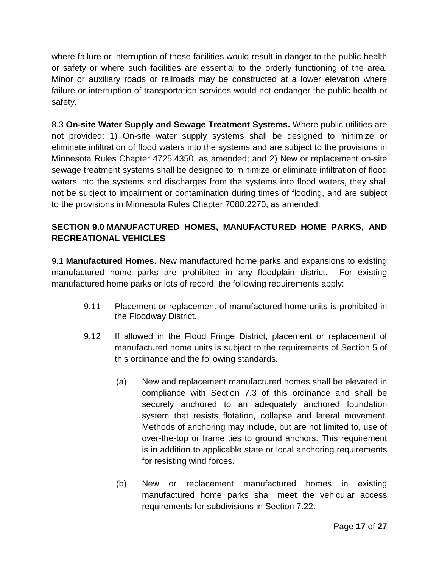where failure or interruption of these facilities would result in danger to the public health or safety or where such facilities are essential to the orderly functioning of the area. Minor or auxiliary roads or railroads may be constructed at a lower elevation where failure or interruption of transportation services would not endanger the public health or safety.

8.3 **On-site Water Supply and Sewage Treatment Systems.** Where public utilities are not provided: 1) On-site water supply systems shall be designed to minimize or eliminate infiltration of flood waters into the systems and are subject to the provisions in Minnesota Rules Chapter 4725.4350, as amended; and 2) New or replacement on-site sewage treatment systems shall be designed to minimize or eliminate infiltration of flood waters into the systems and discharges from the systems into flood waters, they shall not be subject to impairment or contamination during times of flooding, and are subject to the provisions in Minnesota Rules Chapter 7080.2270, as amended.

# **SECTION 9.0 MANUFACTURED HOMES, MANUFACTURED HOME PARKS, AND RECREATIONAL VEHICLES**

9.1 **Manufactured Homes.** New manufactured home parks and expansions to existing manufactured home parks are prohibited in any floodplain district. For existing manufactured home parks or lots of record, the following requirements apply:

- 9.11 Placement or replacement of manufactured home units is prohibited in the Floodway District.
- 9.12 If allowed in the Flood Fringe District, placement or replacement of manufactured home units is subject to the requirements of Section 5 of this ordinance and the following standards.
	- (a) New and replacement manufactured homes shall be elevated in compliance with Section 7.3 of this ordinance and shall be securely anchored to an adequately anchored foundation system that resists flotation, collapse and lateral movement. Methods of anchoring may include, but are not limited to, use of over-the-top or frame ties to ground anchors. This requirement is in addition to applicable state or local anchoring requirements for resisting wind forces.
	- (b) New or replacement manufactured homes in existing manufactured home parks shall meet the vehicular access requirements for subdivisions in Section 7.22.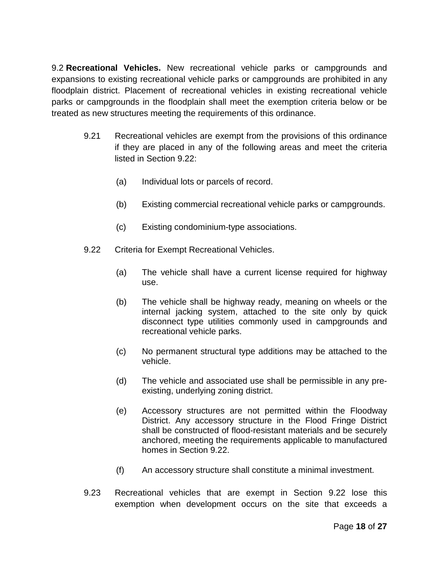9.2 **Recreational Vehicles.** New recreational vehicle parks or campgrounds and expansions to existing recreational vehicle parks or campgrounds are prohibited in any floodplain district. Placement of recreational vehicles in existing recreational vehicle parks or campgrounds in the floodplain shall meet the exemption criteria below or be treated as new structures meeting the requirements of this ordinance.

- 9.21 Recreational vehicles are exempt from the provisions of this ordinance if they are placed in any of the following areas and meet the criteria listed in Section 9.22:
	- (a) Individual lots or parcels of record.
	- (b) Existing commercial recreational vehicle parks or campgrounds.
	- (c) Existing condominium-type associations.
- 9.22 Criteria for Exempt Recreational Vehicles.
	- (a) The vehicle shall have a current license required for highway use.
	- (b) The vehicle shall be highway ready, meaning on wheels or the internal jacking system, attached to the site only by quick disconnect type utilities commonly used in campgrounds and recreational vehicle parks.
	- (c) No permanent structural type additions may be attached to the vehicle.
	- (d) The vehicle and associated use shall be permissible in any preexisting, underlying zoning district.
	- (e) Accessory structures are not permitted within the Floodway District. Any accessory structure in the Flood Fringe District shall be constructed of flood-resistant materials and be securely anchored, meeting the requirements applicable to manufactured homes in Section 9.22.
	- (f) An accessory structure shall constitute a minimal investment.
- 9.23 Recreational vehicles that are exempt in Section 9.22 lose this exemption when development occurs on the site that exceeds a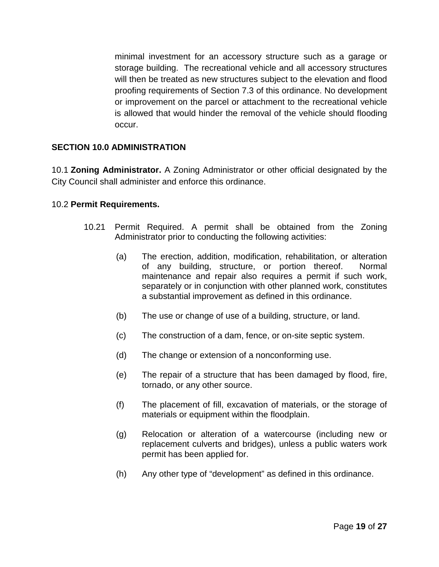minimal investment for an accessory structure such as a garage or storage building. The recreational vehicle and all accessory structures will then be treated as new structures subject to the elevation and flood proofing requirements of Section 7.3 of this ordinance. No development or improvement on the parcel or attachment to the recreational vehicle is allowed that would hinder the removal of the vehicle should flooding occur.

#### **SECTION 10.0 ADMINISTRATION**

10.1 **Zoning Administrator.** A Zoning Administrator or other official designated by the City Council shall administer and enforce this ordinance.

#### 10.2 **Permit Requirements.**

- 10.21 Permit Required. A permit shall be obtained from the Zoning Administrator prior to conducting the following activities:
	- (a) The erection, addition, modification, rehabilitation, or alteration of any building, structure, or portion thereof. Normal maintenance and repair also requires a permit if such work, separately or in conjunction with other planned work, constitutes a substantial improvement as defined in this ordinance.
	- (b) The use or change of use of a building, structure, or land.
	- (c) The construction of a dam, fence, or on-site septic system.
	- (d) The change or extension of a nonconforming use.
	- (e) The repair of a structure that has been damaged by flood, fire, tornado, or any other source.
	- (f) The placement of fill, excavation of materials, or the storage of materials or equipment within the floodplain.
	- (g) Relocation or alteration of a watercourse (including new or replacement culverts and bridges), unless a public waters work permit has been applied for.
	- (h) Any other type of "development" as defined in this ordinance.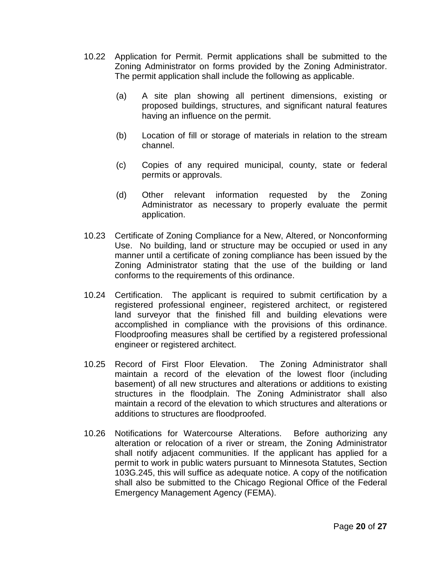- 10.22 Application for Permit. Permit applications shall be submitted to the Zoning Administrator on forms provided by the Zoning Administrator. The permit application shall include the following as applicable.
	- (a) A site plan showing all pertinent dimensions, existing or proposed buildings, structures, and significant natural features having an influence on the permit.
	- (b) Location of fill or storage of materials in relation to the stream channel.
	- (c) Copies of any required municipal, county, state or federal permits or approvals.
	- (d) Other relevant information requested by the Zoning Administrator as necessary to properly evaluate the permit application.
- 10.23 Certificate of Zoning Compliance for a New, Altered, or Nonconforming Use. No building, land or structure may be occupied or used in any manner until a certificate of zoning compliance has been issued by the Zoning Administrator stating that the use of the building or land conforms to the requirements of this ordinance.
- 10.24 Certification. The applicant is required to submit certification by a registered professional engineer, registered architect, or registered land surveyor that the finished fill and building elevations were accomplished in compliance with the provisions of this ordinance. Floodproofing measures shall be certified by a registered professional engineer or registered architect.
- 10.25 Record of First Floor Elevation. The Zoning Administrator shall maintain a record of the elevation of the lowest floor (including basement) of all new structures and alterations or additions to existing structures in the floodplain. The Zoning Administrator shall also maintain a record of the elevation to which structures and alterations or additions to structures are floodproofed.
- 10.26 Notifications for Watercourse Alterations. Before authorizing any alteration or relocation of a river or stream, the Zoning Administrator shall notify adjacent communities. If the applicant has applied for a permit to work in public waters pursuant to Minnesota Statutes, Section 103G.245, this will suffice as adequate notice. A copy of the notification shall also be submitted to the Chicago Regional Office of the Federal Emergency Management Agency (FEMA).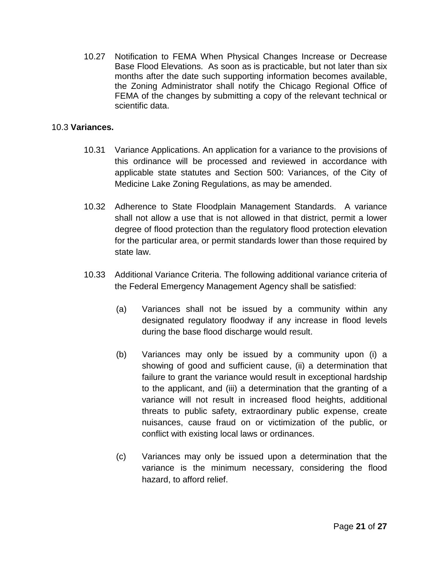10.27 Notification to FEMA When Physical Changes Increase or Decrease Base Flood Elevations. As soon as is practicable, but not later than six months after the date such supporting information becomes available, the Zoning Administrator shall notify the Chicago Regional Office of FEMA of the changes by submitting a copy of the relevant technical or scientific data.

#### 10.3 **Variances.**

- 10.31 Variance Applications. An application for a variance to the provisions of this ordinance will be processed and reviewed in accordance with applicable state statutes and Section 500: Variances, of the City of Medicine Lake Zoning Regulations, as may be amended.
- 10.32 Adherence to State Floodplain Management Standards. A variance shall not allow a use that is not allowed in that district, permit a lower degree of flood protection than the regulatory flood protection elevation for the particular area, or permit standards lower than those required by state law.
- 10.33 Additional Variance Criteria. The following additional variance criteria of the Federal Emergency Management Agency shall be satisfied:
	- (a) Variances shall not be issued by a community within any designated regulatory floodway if any increase in flood levels during the base flood discharge would result.
	- (b) Variances may only be issued by a community upon (i) a showing of good and sufficient cause, (ii) a determination that failure to grant the variance would result in exceptional hardship to the applicant, and (iii) a determination that the granting of a variance will not result in increased flood heights, additional threats to public safety, extraordinary public expense, create nuisances, cause fraud on or victimization of the public, or conflict with existing local laws or ordinances.
	- (c) Variances may only be issued upon a determination that the variance is the minimum necessary, considering the flood hazard, to afford relief.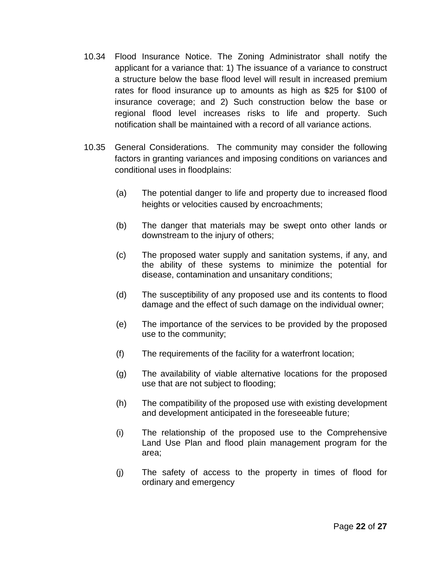- 10.34 Flood Insurance Notice. The Zoning Administrator shall notify the applicant for a variance that: 1) The issuance of a variance to construct a structure below the base flood level will result in increased premium rates for flood insurance up to amounts as high as \$25 for \$100 of insurance coverage; and 2) Such construction below the base or regional flood level increases risks to life and property. Such notification shall be maintained with a record of all variance actions.
- 10.35 General Considerations. The community may consider the following factors in granting variances and imposing conditions on variances and conditional uses in floodplains:
	- (a) The potential danger to life and property due to increased flood heights or velocities caused by encroachments;
	- (b) The danger that materials may be swept onto other lands or downstream to the injury of others;
	- (c) The proposed water supply and sanitation systems, if any, and the ability of these systems to minimize the potential for disease, contamination and unsanitary conditions;
	- (d) The susceptibility of any proposed use and its contents to flood damage and the effect of such damage on the individual owner;
	- (e) The importance of the services to be provided by the proposed use to the community;
	- (f) The requirements of the facility for a waterfront location;
	- (g) The availability of viable alternative locations for the proposed use that are not subject to flooding;
	- (h) The compatibility of the proposed use with existing development and development anticipated in the foreseeable future;
	- (i) The relationship of the proposed use to the Comprehensive Land Use Plan and flood plain management program for the area;
	- (j) The safety of access to the property in times of flood for ordinary and emergency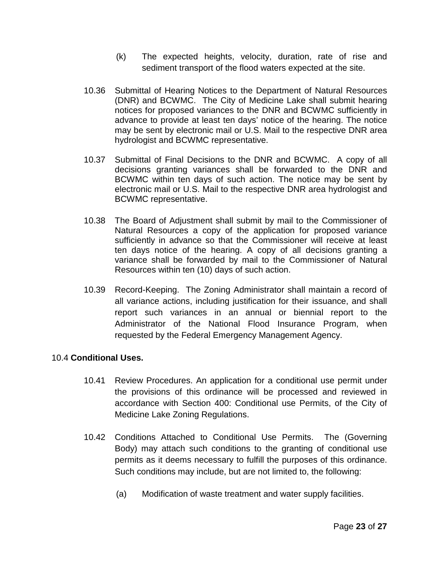- (k) The expected heights, velocity, duration, rate of rise and sediment transport of the flood waters expected at the site.
- 10.36 Submittal of Hearing Notices to the Department of Natural Resources (DNR) and BCWMC. The City of Medicine Lake shall submit hearing notices for proposed variances to the DNR and BCWMC sufficiently in advance to provide at least ten days' notice of the hearing. The notice may be sent by electronic mail or U.S. Mail to the respective DNR area hydrologist and BCWMC representative.
- 10.37 Submittal of Final Decisions to the DNR and BCWMC. A copy of all decisions granting variances shall be forwarded to the DNR and BCWMC within ten days of such action. The notice may be sent by electronic mail or U.S. Mail to the respective DNR area hydrologist and BCWMC representative.
- 10.38 The Board of Adjustment shall submit by mail to the Commissioner of Natural Resources a copy of the application for proposed variance sufficiently in advance so that the Commissioner will receive at least ten days notice of the hearing. A copy of all decisions granting a variance shall be forwarded by mail to the Commissioner of Natural Resources within ten (10) days of such action.
- 10.39 Record-Keeping. The Zoning Administrator shall maintain a record of all variance actions, including justification for their issuance, and shall report such variances in an annual or biennial report to the Administrator of the National Flood Insurance Program, when requested by the Federal Emergency Management Agency.

## 10.4 **Conditional Uses.**

- 10.41 Review Procedures. An application for a conditional use permit under the provisions of this ordinance will be processed and reviewed in accordance with Section 400: Conditional use Permits, of the City of Medicine Lake Zoning Regulations.
- 10.42 Conditions Attached to Conditional Use Permits. The (Governing Body) may attach such conditions to the granting of conditional use permits as it deems necessary to fulfill the purposes of this ordinance. Such conditions may include, but are not limited to, the following:
	- (a) Modification of waste treatment and water supply facilities.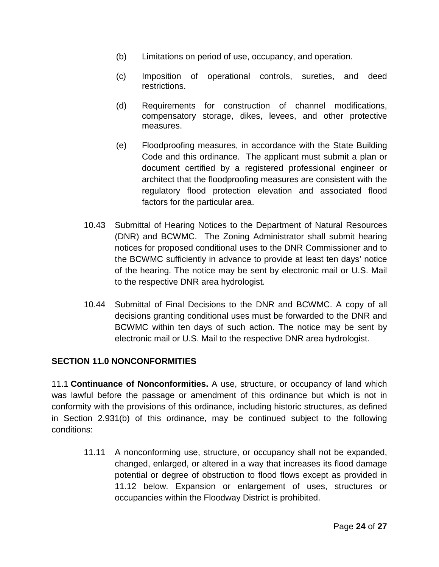- (b) Limitations on period of use, occupancy, and operation.
- (c) Imposition of operational controls, sureties, and deed restrictions.
- (d) Requirements for construction of channel modifications, compensatory storage, dikes, levees, and other protective measures.
- (e) Floodproofing measures, in accordance with the State Building Code and this ordinance. The applicant must submit a plan or document certified by a registered professional engineer or architect that the floodproofing measures are consistent with the regulatory flood protection elevation and associated flood factors for the particular area.
- 10.43 Submittal of Hearing Notices to the Department of Natural Resources (DNR) and BCWMC. The Zoning Administrator shall submit hearing notices for proposed conditional uses to the DNR Commissioner and to the BCWMC sufficiently in advance to provide at least ten days' notice of the hearing. The notice may be sent by electronic mail or U.S. Mail to the respective DNR area hydrologist.
- 10.44 Submittal of Final Decisions to the DNR and BCWMC. A copy of all decisions granting conditional uses must be forwarded to the DNR and BCWMC within ten days of such action. The notice may be sent by electronic mail or U.S. Mail to the respective DNR area hydrologist.

## **SECTION 11.0 NONCONFORMITIES**

11.1 **Continuance of Nonconformities.** A use, structure, or occupancy of land which was lawful before the passage or amendment of this ordinance but which is not in conformity with the provisions of this ordinance, including historic structures, as defined in Section 2.931(b) of this ordinance, may be continued subject to the following conditions:

11.11 A nonconforming use, structure, or occupancy shall not be expanded, changed, enlarged, or altered in a way that increases its flood damage potential or degree of obstruction to flood flows except as provided in 11.12 below. Expansion or enlargement of uses, structures or occupancies within the Floodway District is prohibited.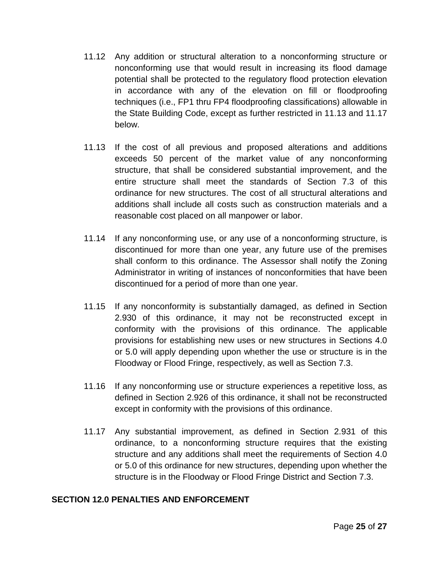- 11.12 Any addition or structural alteration to a nonconforming structure or nonconforming use that would result in increasing its flood damage potential shall be protected to the regulatory flood protection elevation in accordance with any of the elevation on fill or floodproofing techniques (i.e., FP1 thru FP4 floodproofing classifications) allowable in the State Building Code, except as further restricted in 11.13 and 11.17 below.
- 11.13 If the cost of all previous and proposed alterations and additions exceeds 50 percent of the market value of any nonconforming structure, that shall be considered substantial improvement, and the entire structure shall meet the standards of Section 7.3 of this ordinance for new structures. The cost of all structural alterations and additions shall include all costs such as construction materials and a reasonable cost placed on all manpower or labor.
- 11.14 If any nonconforming use, or any use of a nonconforming structure, is discontinued for more than one year, any future use of the premises shall conform to this ordinance. The Assessor shall notify the Zoning Administrator in writing of instances of nonconformities that have been discontinued for a period of more than one year.
- 11.15 If any nonconformity is substantially damaged, as defined in Section 2.930 of this ordinance, it may not be reconstructed except in conformity with the provisions of this ordinance. The applicable provisions for establishing new uses or new structures in Sections 4.0 or 5.0 will apply depending upon whether the use or structure is in the Floodway or Flood Fringe, respectively, as well as Section 7.3.
- 11.16 If any nonconforming use or structure experiences a repetitive loss, as defined in Section 2.926 of this ordinance, it shall not be reconstructed except in conformity with the provisions of this ordinance.
- 11.17 Any substantial improvement, as defined in Section 2.931 of this ordinance, to a nonconforming structure requires that the existing structure and any additions shall meet the requirements of Section 4.0 or 5.0 of this ordinance for new structures, depending upon whether the structure is in the Floodway or Flood Fringe District and Section 7.3.

#### **SECTION 12.0 PENALTIES AND ENFORCEMENT**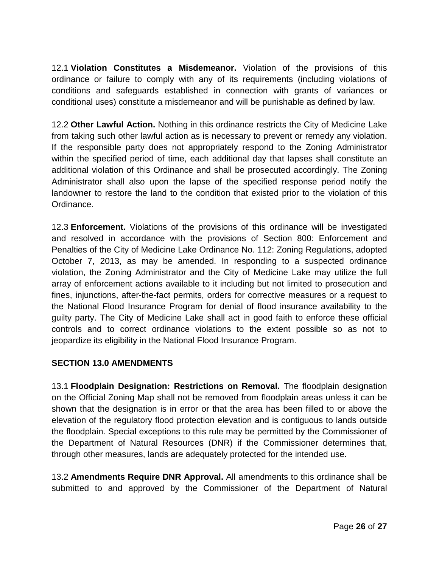12.1 **Violation Constitutes a Misdemeanor.** Violation of the provisions of this ordinance or failure to comply with any of its requirements (including violations of conditions and safeguards established in connection with grants of variances or conditional uses) constitute a misdemeanor and will be punishable as defined by law.

12.2 **Other Lawful Action.** Nothing in this ordinance restricts the City of Medicine Lake from taking such other lawful action as is necessary to prevent or remedy any violation. If the responsible party does not appropriately respond to the Zoning Administrator within the specified period of time, each additional day that lapses shall constitute an additional violation of this Ordinance and shall be prosecuted accordingly. The Zoning Administrator shall also upon the lapse of the specified response period notify the landowner to restore the land to the condition that existed prior to the violation of this Ordinance.

12.3 **Enforcement.** Violations of the provisions of this ordinance will be investigated and resolved in accordance with the provisions of Section 800: Enforcement and Penalties of the City of Medicine Lake Ordinance No. 112: Zoning Regulations, adopted October 7, 2013, as may be amended. In responding to a suspected ordinance violation, the Zoning Administrator and the City of Medicine Lake may utilize the full array of enforcement actions available to it including but not limited to prosecution and fines, injunctions, after-the-fact permits, orders for corrective measures or a request to the National Flood Insurance Program for denial of flood insurance availability to the guilty party. The City of Medicine Lake shall act in good faith to enforce these official controls and to correct ordinance violations to the extent possible so as not to jeopardize its eligibility in the National Flood Insurance Program.

## **SECTION 13.0 AMENDMENTS**

13.1 **Floodplain Designation: Restrictions on Removal.** The floodplain designation on the Official Zoning Map shall not be removed from floodplain areas unless it can be shown that the designation is in error or that the area has been filled to or above the elevation of the regulatory flood protection elevation and is contiguous to lands outside the floodplain. Special exceptions to this rule may be permitted by the Commissioner of the Department of Natural Resources (DNR) if the Commissioner determines that, through other measures, lands are adequately protected for the intended use.

13.2 **Amendments Require DNR Approval.** All amendments to this ordinance shall be submitted to and approved by the Commissioner of the Department of Natural